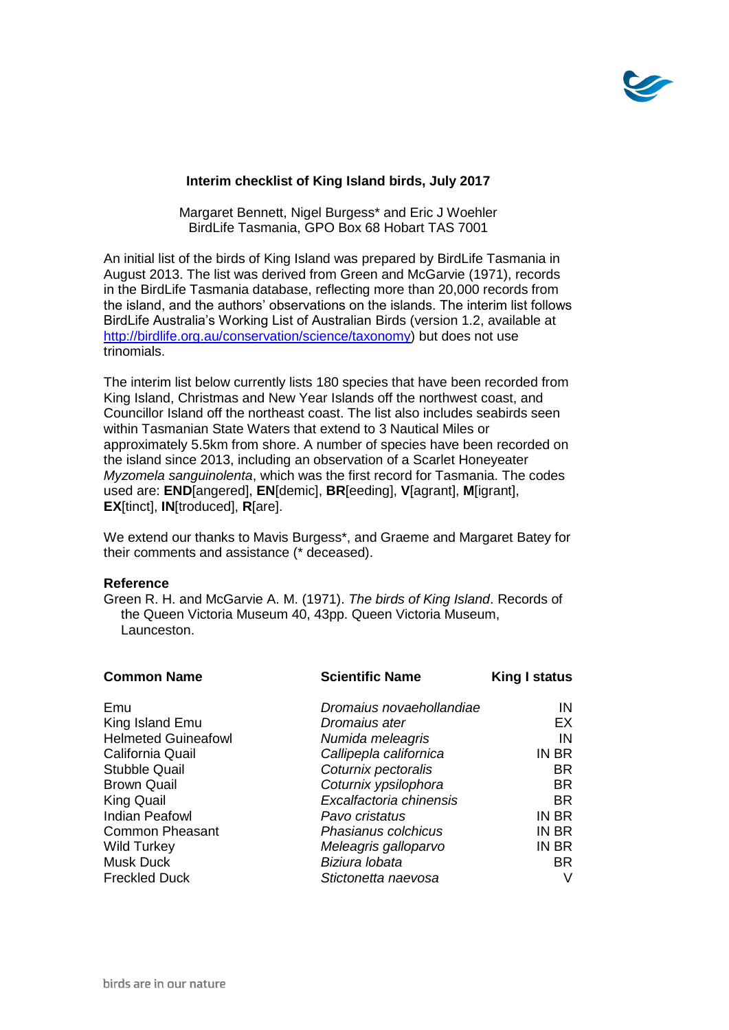

## **Interim checklist of King Island birds, July 2017**

Margaret Bennett, Nigel Burgess\* and Eric J Woehler BirdLife Tasmania, GPO Box 68 Hobart TAS 7001

An initial list of the birds of King Island was prepared by BirdLife Tasmania in August 2013. The list was derived from Green and McGarvie (1971), records in the BirdLife Tasmania database, reflecting more than 20,000 records from the island, and the authors' observations on the islands. The interim list follows BirdLife Australia's Working List of Australian Birds (version 1.2, available at [http://birdlife.org.au/conservation/science/taxonomy\)](http://birdlife.org.au/conservation/science/taxonomy) but does not use trinomials.

The interim list below currently lists 180 species that have been recorded from King Island, Christmas and New Year Islands off the northwest coast, and Councillor Island off the northeast coast. The list also includes seabirds seen within Tasmanian State Waters that extend to 3 Nautical Miles or approximately 5.5km from shore. A number of species have been recorded on the island since 2013, including an observation of a Scarlet Honeyeater *Myzomela sanguinolenta*, which was the first record for Tasmania. The codes used are: **END**[angered], **EN**[demic], **BR**[eeding], **V**[agrant], **M**[igrant], **EX**[tinct], **IN**[troduced], **R**[are].

We extend our thanks to Mavis Burgess\*, and Graeme and Margaret Batey for their comments and assistance (\* deceased).

## **Reference**

Green R. H. and McGarvie A. M. (1971). *The birds of King Island*. Records of the Queen Victoria Museum 40, 43pp. Queen Victoria Museum, Launceston.

| <b>Common Name</b>         | <b>Scientific Name</b>   | King I status |
|----------------------------|--------------------------|---------------|
| Emu                        | Dromaius novaehollandiae | IN            |
| King Island Emu            | Dromaius ater            | EX            |
| <b>Helmeted Guineafowl</b> | Numida meleagris         | IN            |
| California Quail           | Callipepla californica   | IN BR         |
| <b>Stubble Quail</b>       | Coturnix pectoralis      | BR.           |
| <b>Brown Quail</b>         | Coturnix ypsilophora     | BR.           |
| King Quail                 | Excalfactoria chinensis  | <b>BR</b>     |
| <b>Indian Peafowl</b>      | Pavo cristatus           | IN BR         |
| <b>Common Pheasant</b>     | Phasianus colchicus      | IN BR         |
| <b>Wild Turkey</b>         | Meleagris galloparvo     | IN BR         |
| <b>Musk Duck</b>           | Biziura lobata           | BR.           |
| <b>Freckled Duck</b>       | Stictonetta naevosa      | V             |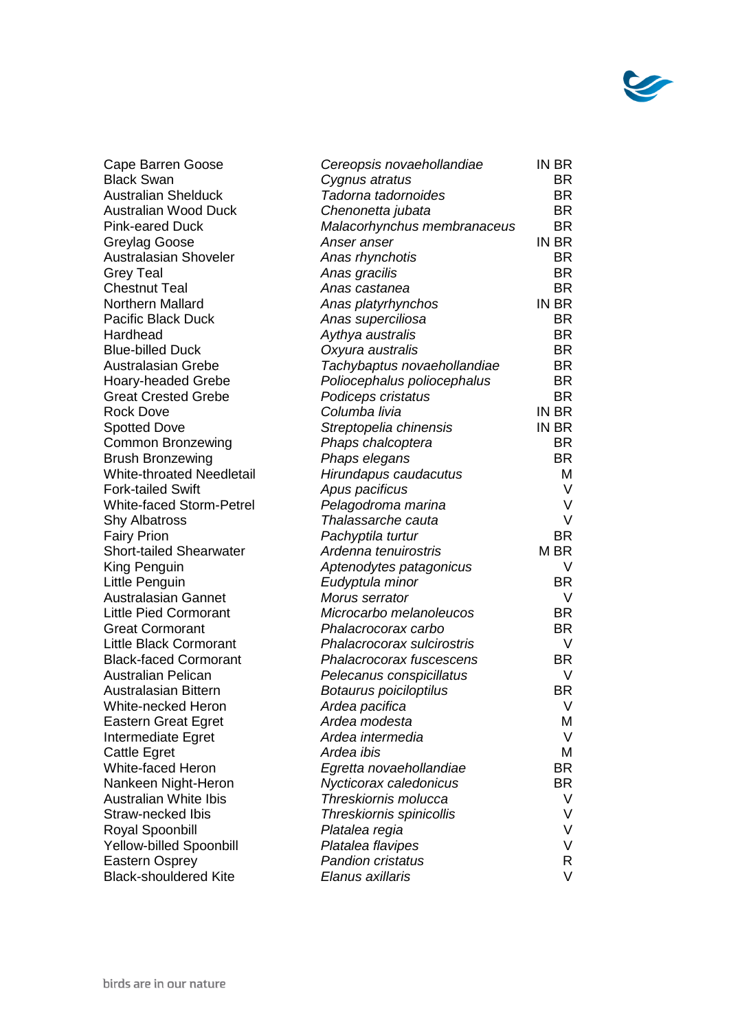

| Cape Barren Goose                                     |                                               | IN BR     |
|-------------------------------------------------------|-----------------------------------------------|-----------|
| <b>Black Swan</b>                                     | Cereopsis novaehollandiae<br>Cygnus atratus   | BR.       |
| <b>Australian Shelduck</b>                            | Tadorna tadornoides                           | <b>BR</b> |
| <b>Australian Wood Duck</b>                           | Chenonetta jubata                             | <b>BR</b> |
| <b>Pink-eared Duck</b>                                | Malacorhynchus membranaceus                   | <b>BR</b> |
| Greylag Goose                                         | Anser anser                                   | IN BR     |
| <b>Australasian Shoveler</b>                          | Anas rhynchotis                               | <b>BR</b> |
| <b>Grey Teal</b>                                      | Anas gracilis                                 | <b>BR</b> |
| <b>Chestnut Teal</b>                                  | Anas castanea                                 | <b>BR</b> |
| Northern Mallard                                      | Anas platyrhynchos                            | IN BR     |
| <b>Pacific Black Duck</b>                             | Anas superciliosa                             | <b>BR</b> |
| Hardhead                                              | Aythya australis                              | <b>BR</b> |
| <b>Blue-billed Duck</b>                               | Oxyura australis                              | <b>BR</b> |
| <b>Australasian Grebe</b>                             | Tachybaptus novaehollandiae                   | BR.       |
| <b>Hoary-headed Grebe</b>                             | Poliocephalus poliocephalus                   | BR.       |
| <b>Great Crested Grebe</b>                            | Podiceps cristatus                            | <b>BR</b> |
| <b>Rock Dove</b>                                      | Columba livia                                 | IN BR     |
| <b>Spotted Dove</b>                                   | Streptopelia chinensis                        | IN BR     |
| <b>Common Bronzewing</b>                              | Phaps chalcoptera                             | <b>BR</b> |
| <b>Brush Bronzewing</b>                               | Phaps elegans                                 | <b>BR</b> |
| White-throated Needletail                             | Hirundapus caudacutus                         | M         |
| <b>Fork-tailed Swift</b>                              | Apus pacificus                                | V         |
| <b>White-faced Storm-Petrel</b>                       | Pelagodroma marina                            | $\vee$    |
| <b>Shy Albatross</b>                                  | Thalassarche cauta                            | V         |
| <b>Fairy Prion</b>                                    | Pachyptila turtur                             | <b>BR</b> |
| <b>Short-tailed Shearwater</b>                        | Ardenna tenuirostris                          | M BR      |
| King Penguin                                          | Aptenodytes patagonicus                       | V         |
| Little Penguin                                        | Eudyptula minor                               | <b>BR</b> |
| <b>Australasian Gannet</b>                            | Morus serrator                                | V         |
| <b>Little Pied Cormorant</b>                          | Microcarbo melanoleucos                       | <b>BR</b> |
| <b>Great Cormorant</b>                                | Phalacrocorax carbo                           | BR.       |
| <b>Little Black Cormorant</b>                         | Phalacrocorax sulcirostris                    | V         |
| <b>Black-faced Cormorant</b>                          | Phalacrocorax fuscescens                      | BR.       |
| <b>Australian Pelican</b>                             | Pelecanus conspicillatus                      | V         |
| <b>Australasian Bittern</b>                           | Botaurus poiciloptilus                        | <b>BR</b> |
| White-necked Heron                                    | Ardea pacifica                                | V         |
| <b>Eastern Great Egret</b>                            | Ardea modesta                                 | M         |
| Intermediate Egret                                    | Ardea intermedia                              | V         |
| <b>Cattle Egret</b>                                   | Ardea ibis                                    | M         |
| <b>White-faced Heron</b>                              | Egretta novaehollandiae                       | BR.       |
| Nankeen Night-Heron                                   | Nycticorax caledonicus                        | BR.       |
| <b>Australian White Ibis</b>                          | Threskiornis molucca                          | V         |
| Straw-necked Ibis                                     | Threskiornis spinicollis                      | V         |
| Royal Spoonbill                                       | Platalea regia                                | V         |
| <b>Yellow-billed Spoonbill</b>                        | Platalea flavipes<br><b>Pandion cristatus</b> | V<br>R    |
| <b>Eastern Osprey</b><br><b>Black-shouldered Kite</b> | Elanus axillaris                              | V         |
|                                                       |                                               |           |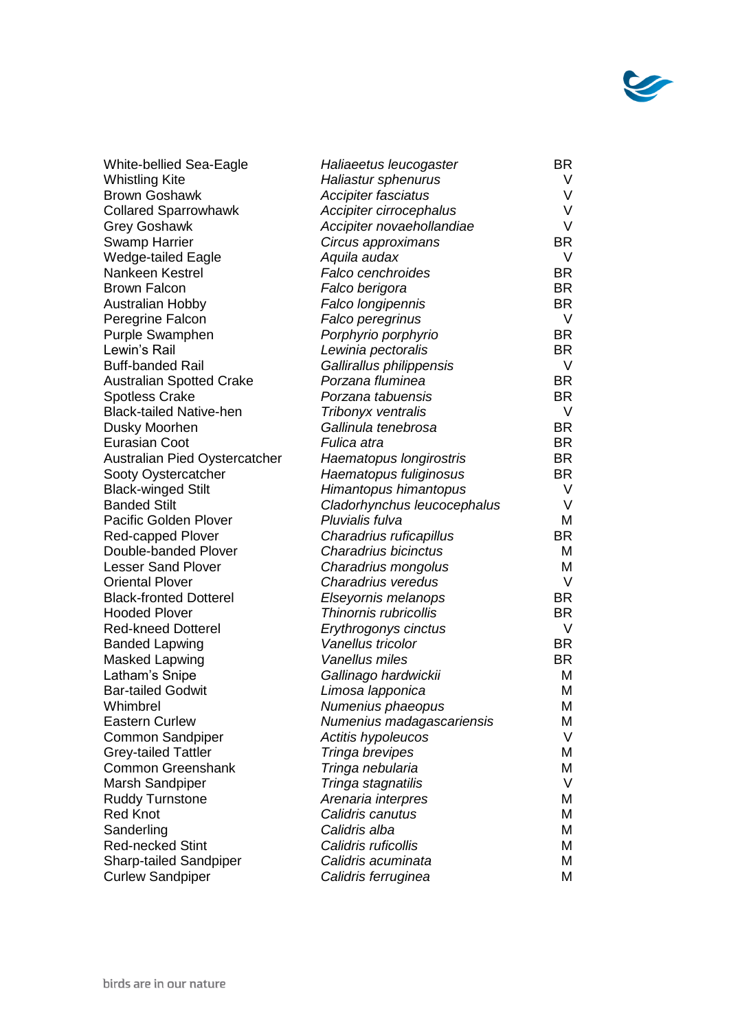

| <b>White-bellied Sea-Eagle</b>  | Haliaeetus leucogaster      | <b>BR</b> |
|---------------------------------|-----------------------------|-----------|
| <b>Whistling Kite</b>           | Haliastur sphenurus         | V         |
| <b>Brown Goshawk</b>            | <b>Accipiter fasciatus</b>  | V         |
| <b>Collared Sparrowhawk</b>     | Accipiter cirrocephalus     | V         |
| <b>Grey Goshawk</b>             | Accipiter novaehollandiae   | V         |
| <b>Swamp Harrier</b>            | Circus approximans          | <b>BR</b> |
| <b>Wedge-tailed Eagle</b>       | Aquila audax                | V         |
| Nankeen Kestrel                 | Falco cenchroides           | <b>BR</b> |
| <b>Brown Falcon</b>             | Falco berigora              | <b>BR</b> |
| <b>Australian Hobby</b>         | Falco longipennis           | <b>BR</b> |
| Peregrine Falcon                | Falco peregrinus            | V         |
| Purple Swamphen                 | Porphyrio porphyrio         | <b>BR</b> |
| Lewin's Rail                    | Lewinia pectoralis          | <b>BR</b> |
| <b>Buff-banded Rail</b>         | Gallirallus philippensis    | V         |
| <b>Australian Spotted Crake</b> | Porzana fluminea            | <b>BR</b> |
| <b>Spotless Crake</b>           | Porzana tabuensis           | <b>BR</b> |
| <b>Black-tailed Native-hen</b>  | Tribonyx ventralis          | V         |
| Dusky Moorhen                   | Gallinula tenebrosa         | <b>BR</b> |
| <b>Eurasian Coot</b>            | Fulica atra                 | <b>BR</b> |
| Australian Pied Oystercatcher   | Haematopus longirostris     | <b>BR</b> |
| Sooty Oystercatcher             | Haematopus fuliginosus      | <b>BR</b> |
| <b>Black-winged Stilt</b>       | Himantopus himantopus       | V         |
| <b>Banded Stilt</b>             | Cladorhynchus leucocephalus | V         |
| <b>Pacific Golden Plover</b>    | Pluvialis fulva             | M         |
| Red-capped Plover               | Charadrius ruficapillus     | <b>BR</b> |
| Double-banded Plover            | Charadrius bicinctus        | M         |
| <b>Lesser Sand Plover</b>       | Charadrius mongolus         | M         |
| <b>Oriental Plover</b>          | Charadrius veredus          | V         |
| <b>Black-fronted Dotterel</b>   | Elseyornis melanops         | <b>BR</b> |
| <b>Hooded Plover</b>            | Thinornis rubricollis       | <b>BR</b> |
| <b>Red-kneed Dotterel</b>       | Erythrogonys cinctus        | V         |
| <b>Banded Lapwing</b>           | Vanellus tricolor           | <b>BR</b> |
| <b>Masked Lapwing</b>           | Vanellus miles              | <b>BR</b> |
| Latham's Snipe                  | Gallinago hardwickii        | M         |
| <b>Bar-tailed Godwit</b>        | Limosa lapponica            | M         |
| Whimbrel                        | Numenius phaeopus           | M         |
| <b>Eastern Curlew</b>           | Numenius madagascariensis   | M         |
| Common Sandpiper                | Actitis hypoleucos          | V         |
| <b>Grey-tailed Tattler</b>      | Tringa brevipes             | M         |
| <b>Common Greenshank</b>        | Tringa nebularia            | M         |
| <b>Marsh Sandpiper</b>          | Tringa stagnatilis          | V         |
| <b>Ruddy Turnstone</b>          | Arenaria interpres          | M         |
| <b>Red Knot</b>                 | Calidris canutus            | M         |
| Sanderling                      | Calidris alba               | M         |
| <b>Red-necked Stint</b>         | Calidris ruficollis         | M         |
| <b>Sharp-tailed Sandpiper</b>   | Calidris acuminata          | M         |
| <b>Curlew Sandpiper</b>         | Calidris ferruginea         | M         |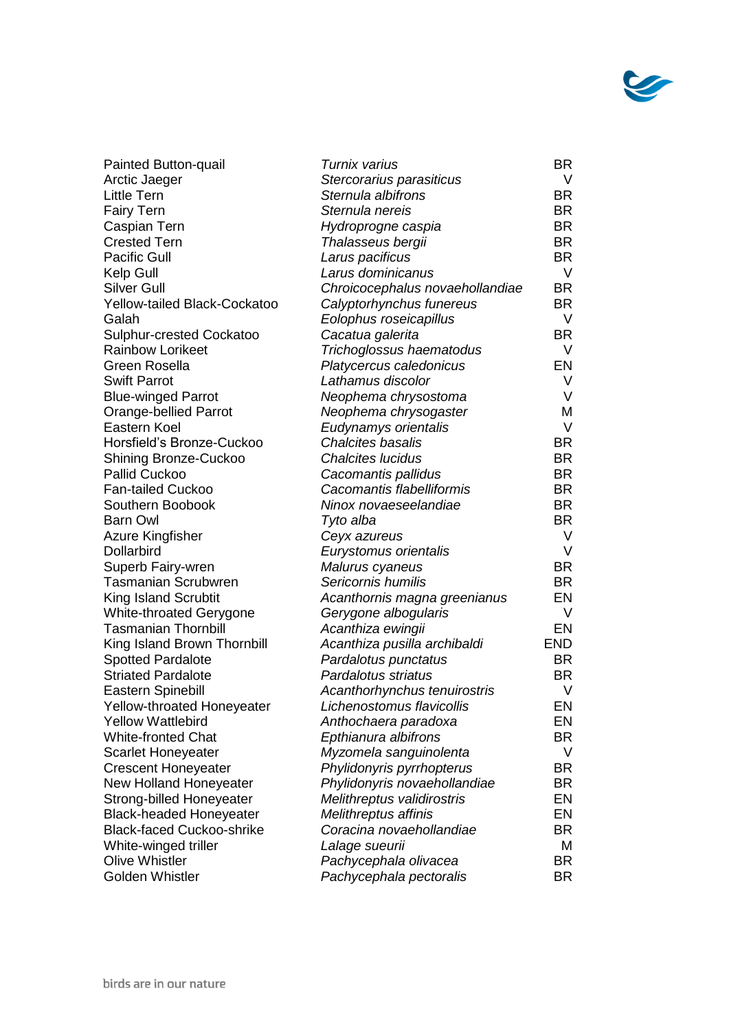

| Painted Button-quail              | Turnix varius                   | BR         |
|-----------------------------------|---------------------------------|------------|
| Arctic Jaeger                     | Stercorarius parasiticus        | V          |
| <b>Little Tern</b>                | Sternula albifrons              | <b>BR</b>  |
| <b>Fairy Tern</b>                 | Sternula nereis                 | <b>BR</b>  |
| Caspian Tern                      | Hydroprogne caspia              | <b>BR</b>  |
| <b>Crested Tern</b>               | Thalasseus bergii               | <b>BR</b>  |
| <b>Pacific Gull</b>               | Larus pacificus                 | <b>BR</b>  |
|                                   |                                 | $\vee$     |
| Kelp Gull                         | Larus dominicanus               |            |
| <b>Silver Gull</b>                | Chroicocephalus novaehollandiae | <b>BR</b>  |
| Yellow-tailed Black-Cockatoo      | Calyptorhynchus funereus        | BR         |
| Galah                             | Eolophus roseicapillus          | V          |
| <b>Sulphur-crested Cockatoo</b>   | Cacatua galerita                | <b>BR</b>  |
| <b>Rainbow Lorikeet</b>           | Trichoglossus haematodus        | $\vee$     |
| Green Rosella                     | Platycercus caledonicus         | EN         |
| <b>Swift Parrot</b>               | Lathamus discolor               | V          |
|                                   |                                 | V          |
| <b>Blue-winged Parrot</b>         | Neophema chrysostoma            |            |
| <b>Orange-bellied Parrot</b>      | Neophema chrysogaster           | M          |
| Eastern Koel                      | Eudynamys orientalis            | $\vee$     |
| Horsfield's Bronze-Cuckoo         | <b>Chalcites basalis</b>        | <b>BR</b>  |
| <b>Shining Bronze-Cuckoo</b>      | <b>Chalcites lucidus</b>        | <b>BR</b>  |
| Pallid Cuckoo                     | Cacomantis pallidus             | <b>BR</b>  |
| <b>Fan-tailed Cuckoo</b>          | Cacomantis flabelliformis       | <b>BR</b>  |
| Southern Boobook                  | Ninox novaeseelandiae           | <b>BR</b>  |
| <b>Barn Owl</b>                   | Tyto alba                       | <b>BR</b>  |
| <b>Azure Kingfisher</b>           | Ceyx azureus                    | V          |
| Dollarbird                        |                                 | $\vee$     |
|                                   | Eurystomus orientalis           |            |
| Superb Fairy-wren                 | Malurus cyaneus                 | <b>BR</b>  |
| <b>Tasmanian Scrubwren</b>        | Sericornis humilis              | BR         |
| King Island Scrubtit              | Acanthornis magna greenianus    | EN         |
| White-throated Gerygone           | Gerygone albogularis            | V          |
| <b>Tasmanian Thornbill</b>        | Acanthiza ewingii               | EN         |
| King Island Brown Thornbill       | Acanthiza pusilla archibaldi    | <b>END</b> |
| <b>Spotted Pardalote</b>          | Pardalotus punctatus            | <b>BR</b>  |
| <b>Striated Pardalote</b>         | Pardalotus striatus             | BR         |
| Eastern Spinebill                 | Acanthorhynchus tenuirostris    | V          |
|                                   |                                 |            |
| <b>Yellow-throated Honeyeater</b> | Lichenostomus flavicollis       | EN         |
| <b>Yellow Wattlebird</b>          | Anthochaera paradoxa            | EN         |
| <b>White-fronted Chat</b>         | Epthianura albifrons            | BR         |
| <b>Scarlet Honeyeater</b>         | Myzomela sanguinolenta          | V          |
| <b>Crescent Honeyeater</b>        | Phylidonyris pyrrhopterus       | BR         |
| <b>New Holland Honeyeater</b>     | Phylidonyris novaehollandiae    | <b>BR</b>  |
| <b>Strong-billed Honeyeater</b>   | Melithreptus validirostris      | EN         |
| <b>Black-headed Honeyeater</b>    | Melithreptus affinis            | EN         |
| <b>Black-faced Cuckoo-shrike</b>  | Coracina novaehollandiae        | BR         |
| White-winged triller              | Lalage sueurii                  | M          |
|                                   |                                 |            |
| <b>Olive Whistler</b>             | Pachycephala olivacea           | <b>BR</b>  |
| Golden Whistler                   | Pachycephala pectoralis         | BR         |